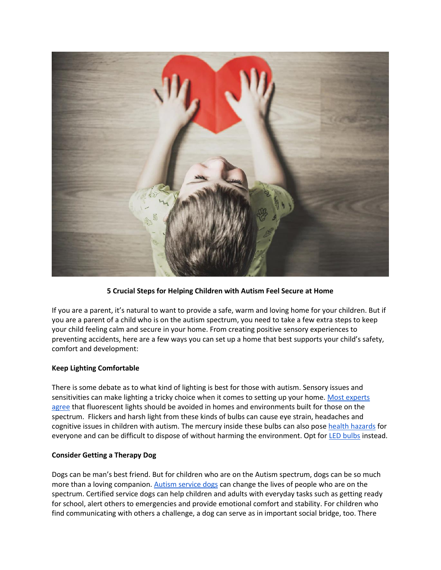

# **5 Crucial Steps for Helping Children with Autism Feel Secure at Home**

If you are a parent, it's natural to want to provide a safe, warm and loving home for your children. But if you are a parent of a child who is on the autism spectrum, you need to take a few extra steps to keep your child feeling calm and secure in your home. From creating positive sensory experiences to preventing accidents, here are a few ways you can set up a home that best supports your child's safety, comfort and development:

## **Keep Lighting Comfortable**

There is some debate as to what kind of lighting is best for those with autism. Sensory issues and sensitivities can make lighting a tricky choice when it comes to setting up your home. Most experts [agree](https://www.archdaily.com/177293/designing-for-autism-lighting) that fluorescent lights should be avoided in homes and environments built for those on the spectrum. Flickers and harsh light from these kinds of bulbs can cause eye strain, headaches and cognitive issues in children with autism. The mercury inside these bulbs can also pose [health hazards](http://www.nbcnews.com/id/23694819/ns/us_news-environment/t/shining-light-hazards-fluorescent-bulbs/#.W3tBNJNKjBI) for everyone and can be difficult to dispose of without harming the environment. Opt for [LED bulbs](https://www.energystar.gov/products/lighting_fans/light_bulbs/learn_about_led_bulbs) instead.

#### **Consider Getting a Therapy Dog**

Dogs can be man's best friend. But for children who are on the Autism spectrum, dogs can be so much more than a loving companion. [Autism service dogs](https://www.rover.com/blog/autism-service-dogs/) can change the lives of people who are on the spectrum. Certified service dogs can help children and adults with everyday tasks such as getting ready for school, alert others to emergencies and provide emotional comfort and stability. For children who find communicating with others a challenge, a dog can serve as in important social bridge, too. There